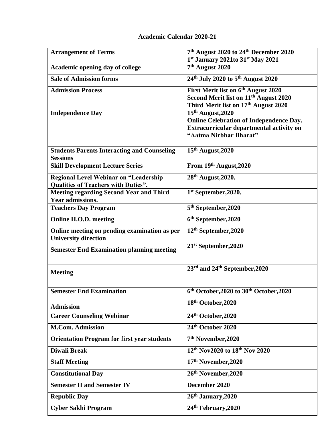| <b>Arrangement of Terms</b>                                                 | 7 <sup>th</sup> August 2020 to 24 <sup>th</sup> December 2020<br>1st January 2021to 31st May 2021 |
|-----------------------------------------------------------------------------|---------------------------------------------------------------------------------------------------|
| Academic opening day of college                                             | 7 <sup>th</sup> August 2020                                                                       |
| <b>Sale of Admission forms</b>                                              | 24 <sup>th</sup> July 2020 to 5 <sup>th</sup> August 2020                                         |
| <b>Admission Process</b>                                                    | First Merit list on 6 <sup>th</sup> August 2020                                                   |
|                                                                             | Second Merit list on 11 <sup>th</sup> August 2020<br>Third Merit list on 17th August 2020         |
| <b>Independence Day</b>                                                     | 15th August, 2020                                                                                 |
|                                                                             | <b>Online Celebration of Independence Day.</b>                                                    |
|                                                                             | Extracurricular departmental activity on<br>"Aatma Nirbhar Bharat"                                |
|                                                                             |                                                                                                   |
| <b>Students Parents Interacting and Counseling</b><br><b>Sessions</b>       | 15th August, 2020                                                                                 |
| <b>Skill Development Lecture Series</b>                                     | From 19th August, 2020                                                                            |
| Regional Level Webinar on "Leadership                                       | 28th August, 2020.                                                                                |
| <b>Qualities of Teachers with Duties".</b>                                  |                                                                                                   |
| <b>Meeting regarding Second Year and Third</b><br><b>Year admissions.</b>   | 1 <sup>st</sup> September, 2020.                                                                  |
| <b>Teachers Day Program</b>                                                 | 5 <sup>th</sup> September, 2020                                                                   |
| <b>Online H.O.D. meeting</b>                                                | 6 <sup>th</sup> September, 2020                                                                   |
| Online meeting on pending examination as per<br><b>University direction</b> | 12 <sup>th</sup> September, 2020                                                                  |
| <b>Semester End Examination planning meeting</b>                            | 21 <sup>st</sup> September, 2020                                                                  |
|                                                                             | 23 <sup>rd</sup> and 24 <sup>th</sup> September, 2020                                             |
| <b>Meeting</b>                                                              |                                                                                                   |
| <b>Semester End Examination</b>                                             | 6 <sup>th</sup> October, 2020 to 30 <sup>th</sup> October, 2020                                   |
|                                                                             |                                                                                                   |
| <b>Admission</b>                                                            | 18th October, 2020                                                                                |
| <b>Career Counseling Webinar</b>                                            | 24th October, 2020                                                                                |
| <b>M.Com. Admission</b>                                                     | 24th October 2020                                                                                 |
| <b>Orientation Program for first year students</b>                          | 7 <sup>th</sup> November, 2020                                                                    |
| <b>Diwali Break</b>                                                         | 12 <sup>th</sup> Nov2020 to 18 <sup>th</sup> Nov 2020                                             |
| <b>Staff Meeting</b>                                                        | 17th November, 2020                                                                               |
| <b>Constitutional Day</b>                                                   | 26th November, 2020                                                                               |
| <b>Semester II and Semester IV</b>                                          | December 2020                                                                                     |
| <b>Republic Day</b>                                                         | 26th January, 2020                                                                                |
| <b>Cyber Sakhi Program</b>                                                  | 24th February, 2020                                                                               |

## **Academic Calendar 2020-21**